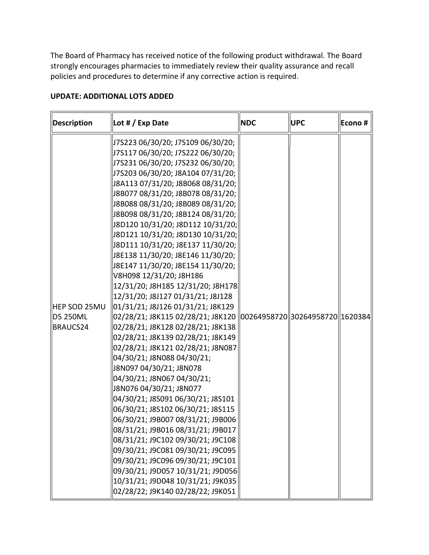The Board of Pharmacy has received notice of the following product withdrawal. The Board strongly encourages pharmacies to immediately review their quality assurance and recall policies and procedures to determine if any corrective action is required.

| <b>Description</b>  | Lot # / Exp Date                                                                 | <b>NDC</b> | <b>UPC</b> | Econo# |
|---------------------|----------------------------------------------------------------------------------|------------|------------|--------|
|                     | J7S223 06/30/20; J7S109 06/30/20;                                                |            |            |        |
|                     | J7S117 06/30/20; J7S222 06/30/20;                                                |            |            |        |
|                     | J7S231 06/30/20; J7S232 06/30/20;                                                |            |            |        |
|                     | J7S203 06/30/20; J8A104 07/31/20;                                                |            |            |        |
|                     | J8A113 07/31/20; J8B068 08/31/20;                                                |            |            |        |
|                     | J8B077 08/31/20; J8B078 08/31/20;                                                |            |            |        |
|                     | J8B088 08/31/20; J8B089 08/31/20;                                                |            |            |        |
|                     | J8B098 08/31/20; J8B124 08/31/20;                                                |            |            |        |
|                     | J8D120 10/31/20; J8D112 10/31/20;                                                |            |            |        |
|                     | J8D121 10/31/20; J8D130 10/31/20;                                                |            |            |        |
|                     | J8D111 10/31/20; J8E137 11/30/20;                                                |            |            |        |
|                     | J8E138 11/30/20; J8E146 11/30/20;                                                |            |            |        |
|                     | J8E147 11/30/20; J8E154 11/30/20;                                                |            |            |        |
|                     | V8H098 12/31/20; J8H186                                                          |            |            |        |
|                     | 12/31/20; J8H185 12/31/20; J8H178                                                |            |            |        |
|                     | 12/31/20; J8J127 01/31/21; J8J128                                                |            |            |        |
| <b>HEP SOD 25MU</b> | 01/31/21; J8J126 01/31/21; J8K129                                                |            |            |        |
| D5 250ML            | 02/28/21; J8K115            02/28/21; J8K120   00264958720  30264958720  1620384 |            |            |        |
| BRAUCS24            | 02/28/21; J8K128 02/28/21; J8K138                                                |            |            |        |
|                     | 02/28/21; J8K139 02/28/21; J8K149                                                |            |            |        |
|                     | 02/28/21; J8K121 02/28/21; J8N087                                                |            |            |        |
|                     | 04/30/21; J8N088 04/30/21;                                                       |            |            |        |
|                     | J8N097 04/30/21; J8N078                                                          |            |            |        |
|                     | 04/30/21; J8N067 04/30/21;                                                       |            |            |        |
|                     | J8N076 04/30/21; J8N077                                                          |            |            |        |
|                     | 04/30/21; J8S091 06/30/21; J8S101                                                |            |            |        |
|                     | 06/30/21; J8S102 06/30/21; J8S115                                                |            |            |        |
|                     | 06/30/21; J9B007 08/31/21; J9B006                                                |            |            |        |
|                     | 08/31/21; J9B016 08/31/21; J9B017                                                |            |            |        |
|                     | 08/31/21; J9C102 09/30/21; J9C108                                                |            |            |        |
|                     | 09/30/21; J9C081 09/30/21; J9C095                                                |            |            |        |
|                     | 09/30/21; J9C096 09/30/21; J9C101                                                |            |            |        |
|                     | 09/30/21; J9D057 10/31/21; J9D056                                                |            |            |        |
|                     | 10/31/21; J9D048 10/31/21; J9K035                                                |            |            |        |
|                     | 02/28/22; J9K140 02/28/22; J9K051                                                |            |            |        |

## **UPDATE: ADDITIONAL LOTS ADDED**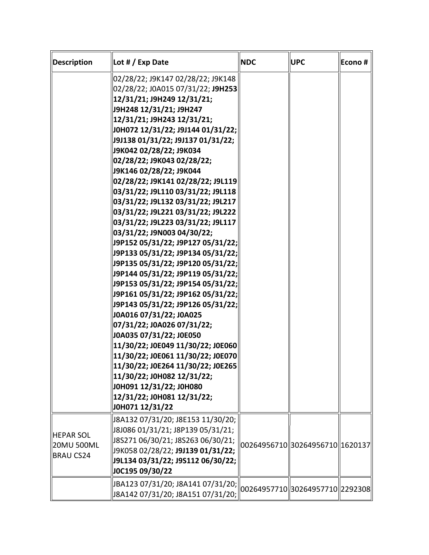| Description                                        | Lot $# / E$ xp Date                                                                                                                                                                                                                                                                                                                                                                                                                                                                                                                                                                                                                                                                                                                                                                                                                                                                                                                                                                                                                                                                                                                | <b>NDC</b> | <b>UPC</b>                        | Econo# |
|----------------------------------------------------|------------------------------------------------------------------------------------------------------------------------------------------------------------------------------------------------------------------------------------------------------------------------------------------------------------------------------------------------------------------------------------------------------------------------------------------------------------------------------------------------------------------------------------------------------------------------------------------------------------------------------------------------------------------------------------------------------------------------------------------------------------------------------------------------------------------------------------------------------------------------------------------------------------------------------------------------------------------------------------------------------------------------------------------------------------------------------------------------------------------------------------|------------|-----------------------------------|--------|
|                                                    | 02/28/22; J9K147 02/28/22; J9K148<br>02/28/22; J0A015 07/31/22; J9H253<br>12/31/21; J9H249 12/31/21;<br>J9H248 12/31/21; J9H247<br>12/31/21; J9H243 12/31/21;<br>J0H072 12/31/22; J9J144 01/31/22;<br>J9J138 01/31/22; J9J137 01/31/22;<br>J9K042 02/28/22; J9K034<br>02/28/22; J9K043 02/28/22;<br>J9K146 02/28/22; J9K044<br>02/28/22; J9K141 02/28/22; J9L119<br>03/31/22; J9L110 03/31/22; J9L118<br>03/31/22; J9L132 03/31/22; J9L217<br>03/31/22; J9L221 03/31/22; J9L222<br>03/31/22; J9L223 03/31/22; J9L117<br>03/31/22; J9N003 04/30/22;<br>J9P152 05/31/22; J9P127 05/31/22;<br>J9P133 05/31/22; J9P134 05/31/22;<br>J9P135 05/31/22; J9P120 05/31/22;<br>J9P144 05/31/22; J9P119 05/31/22;<br>J9P153 05/31/22; J9P154 05/31/22;<br>J9P161 05/31/22; J9P162 05/31/22;<br>J9P143 05/31/22; J9P126 05/31/22;<br>J0A016 07/31/22; J0A025<br>07/31/22; J0A026 07/31/22;<br>J0A035 07/31/22; J0E050<br>11/30/22; J0E049 11/30/22; J0E060<br>11/30/22; J0E061 11/30/22; J0E070<br>11/30/22; J0E264 11/30/22; J0E265<br>11/30/22; J0H082 12/31/22;<br>J0H091 12/31/22; J0H080<br>12/31/22; J0H081 12/31/22;<br>J0H071 12/31/22 |            |                                   |        |
| <b>HEPAR SOL</b><br>20MU 500ML<br><b>BRAU CS24</b> | J8A132 07/31/20; J8E153 11/30/20;<br>J8J086 01/31/21; J8P139 05/31/21;<br>J8S271 06/30/21; J8S263 06/30/21;<br>J9K058 02/28/22; J9J139 01/31/22;<br>J9L134 03/31/22; J9S112 06/30/22;<br>J0C195 09/30/22                                                                                                                                                                                                                                                                                                                                                                                                                                                                                                                                                                                                                                                                                                                                                                                                                                                                                                                           |            | 00264956710 30264956710 1620137   |        |
|                                                    | JBA123 07/31/20; J8A141 07/31/20;<br>J8A142 07/31/20; J8A151 07/31/20;                                                                                                                                                                                                                                                                                                                                                                                                                                                                                                                                                                                                                                                                                                                                                                                                                                                                                                                                                                                                                                                             |            | 00264957710  30264957710  2292308 |        |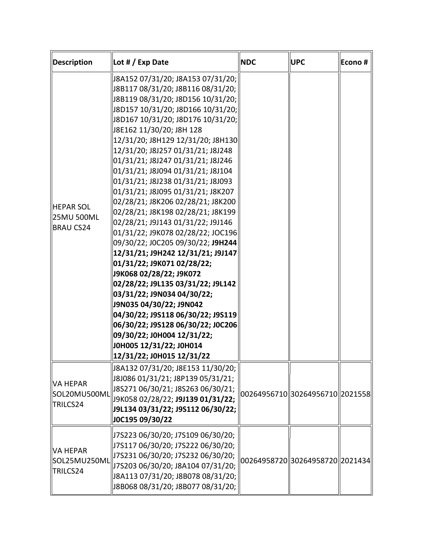| Description                                        | Lot $# / E$ xp Date                                                                                                                                                                                                                                                                                                                                                                                                                                                                                                                                                                                                                                                                                                                                                                                                                                                                                                                                                                                  | <b>NDC</b> | <b>UPC</b>                        | Econo # |
|----------------------------------------------------|------------------------------------------------------------------------------------------------------------------------------------------------------------------------------------------------------------------------------------------------------------------------------------------------------------------------------------------------------------------------------------------------------------------------------------------------------------------------------------------------------------------------------------------------------------------------------------------------------------------------------------------------------------------------------------------------------------------------------------------------------------------------------------------------------------------------------------------------------------------------------------------------------------------------------------------------------------------------------------------------------|------------|-----------------------------------|---------|
| <b>HEPAR SOL</b><br>25MU 500ML<br><b>BRAU CS24</b> | J8A152 07/31/20; J8A153 07/31/20;<br>J8B117 08/31/20; J8B116 08/31/20;<br>J8B119 08/31/20; J8D156 10/31/20;<br>J8D157 10/31/20; J8D166 10/31/20;<br>J8D167 10/31/20; J8D176 10/31/20;<br>J8E162 11/30/20; J8H 128<br>12/31/20; J8H129 12/31/20; J8H130<br>12/31/20; J8J257 01/31/21; J8J248<br>01/31/21; J8J247 01/31/21; J8J246<br>01/31/21; J8J094 01/31/21; J8J104<br>01/31/21; J8J238 01/31/21; J8J093<br>01/31/21; J8J095 01/31/21; J8K207<br>02/28/21; J8K206 02/28/21; J8K200<br>02/28/21; J8K198 02/28/21; J8K199<br>02/28/21; J9J143 01/31/22; J9J146<br>01/31/22; J9K078 02/28/22; JOC196<br>09/30/22; J0C205 09/30/22; J9H244<br>12/31/21; J9H242 12/31/21; J9J147<br>01/31/22; J9K071 02/28/22;<br>J9K068 02/28/22; J9K072<br>02/28/22; J9L135 03/31/22; J9L142<br>03/31/22; J9N034 04/30/22;<br>J9N035 04/30/22; J9N042<br>04/30/22; J9S118 06/30/22; J9S119<br>06/30/22; J9S128 06/30/22; J0C206<br>09/30/22; J0H004 12/31/22;<br>J0H005 12/31/22; J0H014<br>12/31/22; J0H015 12/31/22 |            |                                   |         |
| VA HEPAR<br>SOL20MU500ML<br>TRILCS24               | J8A132 07/31/20; J8E153 11/30/20;  <br>J8J086 01/31/21; J8P139 05/31/21;<br>J8S271 06/30/21; J8S263 06/30/21;<br>J9K058 02/28/22; J9J139 01/31/22;<br>J9L134 03/31/22; J9S112 06/30/22;<br>J0C195 09/30/22                                                                                                                                                                                                                                                                                                                                                                                                                                                                                                                                                                                                                                                                                                                                                                                           |            | 00264956710  30264956710  2021558 |         |
| VA HEPAR<br>SOL25MU250ML<br>TRILCS24               | J7S223 06/30/20; J7S109 06/30/20;<br>J7S117 06/30/20; J7S222 06/30/20;<br>J7S231 06/30/20; J7S232 06/30/20;<br>J7S203 06/30/20; J8A104 07/31/20;<br>J8A113 07/31/20; J8B078 08/31/20;<br>J8B068 08/31/20; J8B077 08/31/20;                                                                                                                                                                                                                                                                                                                                                                                                                                                                                                                                                                                                                                                                                                                                                                           |            | 00264958720 30264958720 2021434   |         |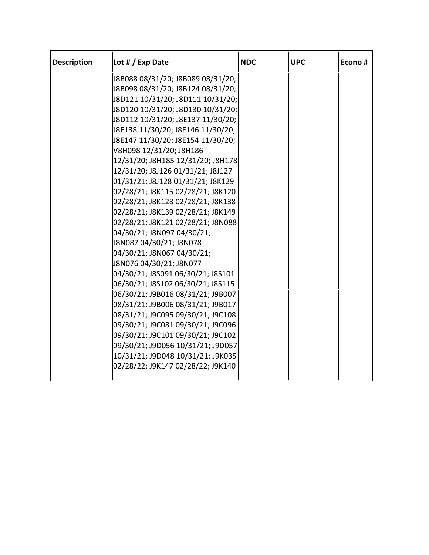| <b>Description</b> | Lot $# / E$ xp Date               | <b>NDC</b> | <b>UPC</b> | Econo # |
|--------------------|-----------------------------------|------------|------------|---------|
|                    | J8B088 08/31/20; J8B089 08/31/20; |            |            |         |
|                    | J8B098 08/31/20; J8B124 08/31/20; |            |            |         |
|                    | J8D121 10/31/20; J8D111 10/31/20; |            |            |         |
|                    | J8D120 10/31/20; J8D130 10/31/20; |            |            |         |
|                    | J8D112 10/31/20; J8E137 11/30/20; |            |            |         |
|                    | J8E138 11/30/20; J8E146 11/30/20; |            |            |         |
|                    | J8E147 11/30/20; J8E154 11/30/20; |            |            |         |
|                    | V8H098 12/31/20; J8H186           |            |            |         |
|                    | 12/31/20; J8H185 12/31/20; J8H178 |            |            |         |
|                    | 12/31/20; J8J126 01/31/21; J8J127 |            |            |         |
|                    | 01/31/21; J8J128 01/31/21; J8K129 |            |            |         |
|                    | 02/28/21; J8K115 02/28/21; J8K120 |            |            |         |
|                    | 02/28/21; J8K128 02/28/21; J8K138 |            |            |         |
|                    | 02/28/21; J8K139 02/28/21; J8K149 |            |            |         |
|                    | 02/28/21; J8K121 02/28/21; J8N088 |            |            |         |
|                    | 04/30/21; J8N097 04/30/21;        |            |            |         |
|                    | J8N087 04/30/21; J8N078           |            |            |         |
|                    | 04/30/21; J8N067 04/30/21;        |            |            |         |
|                    | J8N076 04/30/21; J8N077           |            |            |         |
|                    | 04/30/21; J8S091 06/30/21; J8S101 |            |            |         |
|                    | 06/30/21; J8S102 06/30/21; J8S115 |            |            |         |
|                    | 06/30/21; J9B016 08/31/21; J9B007 |            |            |         |
|                    | 08/31/21; J9B006 08/31/21; J9B017 |            |            |         |
|                    | 08/31/21; J9C095 09/30/21; J9C108 |            |            |         |
|                    | 09/30/21; J9C081 09/30/21; J9C096 |            |            |         |
|                    | 09/30/21; J9C101 09/30/21; J9C102 |            |            |         |
|                    | 09/30/21; J9D056 10/31/21; J9D057 |            |            |         |
|                    | 10/31/21; J9D048 10/31/21; J9K035 |            |            |         |
|                    | 02/28/22; J9K147 02/28/22; J9K140 |            |            |         |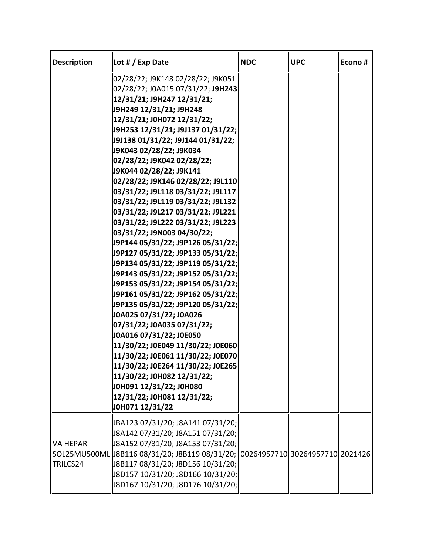| Description                 | Lot # / Exp Date                                                                                                                                                                                                                                                                                                                                                                                                                                                                                                                                                                                                                                                                                                                                                                                                                                                                                                                                                                                                                                                                                                                            | <b>NDC</b> | <b>UPC</b> | Econo # |
|-----------------------------|---------------------------------------------------------------------------------------------------------------------------------------------------------------------------------------------------------------------------------------------------------------------------------------------------------------------------------------------------------------------------------------------------------------------------------------------------------------------------------------------------------------------------------------------------------------------------------------------------------------------------------------------------------------------------------------------------------------------------------------------------------------------------------------------------------------------------------------------------------------------------------------------------------------------------------------------------------------------------------------------------------------------------------------------------------------------------------------------------------------------------------------------|------------|------------|---------|
|                             | 02/28/22; J9K148 02/28/22; J9K051<br>02/28/22; J0A015 07/31/22; J9H243<br>12/31/21; J9H247 12/31/21;<br>J9H249 12/31/21; J9H248<br>12/31/21; JOH072 12/31/22;<br>J9H253 12/31/21; J9J137 01/31/22;<br>J9J138 01/31/22; J9J144 01/31/22;<br>J9K043 02/28/22; J9K034<br>02/28/22; J9K042 02/28/22;<br>J9K044 02/28/22; J9K141<br>02/28/22; J9K146 02/28/22; J9L110<br>03/31/22; J9L118 03/31/22; J9L117<br>03/31/22; J9L119 03/31/22; J9L132<br>03/31/22; J9L217 03/31/22; J9L221<br>03/31/22; J9L222 03/31/22; J9L223<br>03/31/22; J9N003 04/30/22;<br> J9P144 05/31/22; J9P126 05/31/22; <br>J9P127 05/31/22; J9P133 05/31/22;<br> J9P134 05/31/22; J9P119 05/31/22; <br> J9P143 05/31/22; J9P152 05/31/22;<br> J9P153 05/31/22; J9P154 05/31/22; <br> J9P161 05/31/22; J9P162 05/31/22; <br>J9P135 05/31/22; J9P120 05/31/22;<br>J0A025 07/31/22; J0A026<br>07/31/22; J0A035 07/31/22;<br>J0A016 07/31/22; J0E050<br>11/30/22; J0E049 11/30/22; J0E060<br>11/30/22; J0E061 11/30/22; J0E070<br>11/30/22; J0E264 11/30/22; J0E265<br>11/30/22; J0H082 12/31/22;<br>J0H091 12/31/22; J0H080<br>12/31/22; JOH081 12/31/22;<br>J0H071 12/31/22 |            |            |         |
| <b>VA HEPAR</b><br>TRILCS24 | JBA123 07/31/20; J8A141 07/31/20;<br> J8A142 07/31/20; J8A151 07/31/20;  <br> J8A152 07/31/20; J8A153 07/31/20;<br> SOL25MU500ML  J8B116 08/31/20; J8B119 08/31/20;   00264957710  30264957710  2021426 <br> J8B117 08/31/20; J8D156 10/31/20;<br>  J8D157 10/31/20; J8D166 10/31/20; <br>J8D167 10/31/20; J8D176 10/31/20;                                                                                                                                                                                                                                                                                                                                                                                                                                                                                                                                                                                                                                                                                                                                                                                                                 |            |            |         |